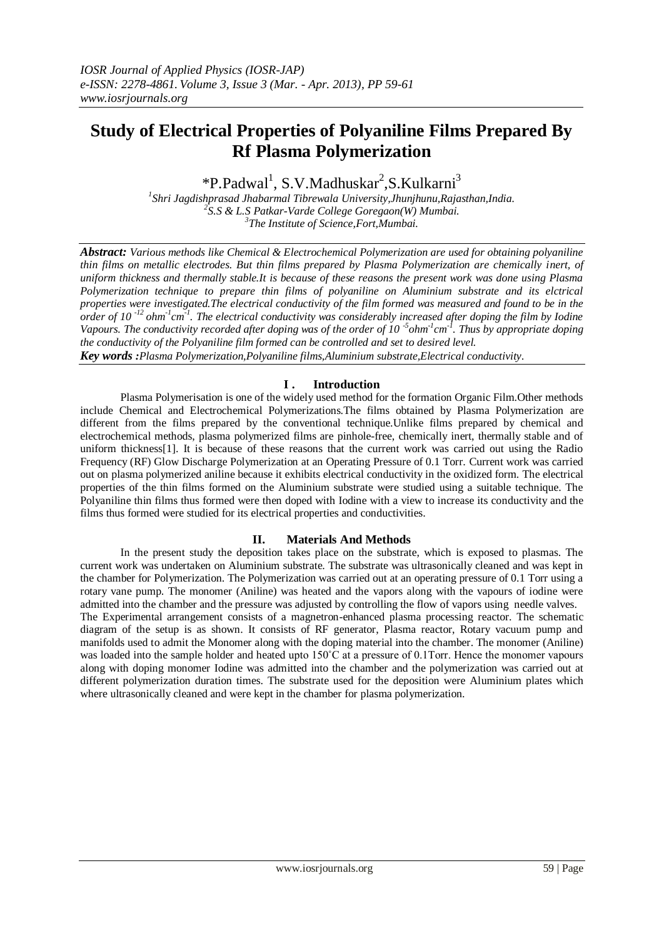# **Study of Electrical Properties of Polyaniline Films Prepared By Rf Plasma Polymerization**

\*P.Padwal<sup>1</sup>, S.V.Madhuskar<sup>2</sup>, S.Kulkarni<sup>3</sup>

*1 Shri Jagdishprasad Jhabarmal Tibrewala University,Jhunjhunu,Rajasthan,India. 2 S.S & L.S Patkar-Varde College Goregaon(W) Mumbai. 3 The Institute of Science,Fort,Mumbai.*

*Abstract: Various methods like Chemical & Electrochemical Polymerization are used for obtaining polyaniline thin films on metallic electrodes. But thin films prepared by Plasma Polymerization are chemically inert, of uniform thickness and thermally stable.It is because of these reasons the present work was done using Plasma Polymerization technique to prepare thin films of polyaniline on Aluminium substrate and its elctrical properties were investigated.The electrical conductivity of the film formed was measured and found to be in the order of 10 -12 ohm-1 cm -1 . The electrical conductivity was considerably increased after doping the film by Iodine Vapours. The conductivity recorded after doping was of the order of 10<sup>-5</sup> ohm<sup>-1</sup> cm<sup>-1</sup>. Thus by appropriate doping the conductivity of the Polyaniline film formed can be controlled and set to desired level. Key words :Plasma Polymerization,Polyaniline films,Aluminium substrate,Electrical conductivity.*

## **I . Introduction**

Plasma Polymerisation is one of the widely used method for the formation Organic Film.Other methods include Chemical and Electrochemical Polymerizations.The films obtained by Plasma Polymerization are different from the films prepared by the conventional technique.Unlike films prepared by chemical and electrochemical methods, plasma polymerized films are pinhole-free, chemically inert, thermally stable and of uniform thickness[1]. It is because of these reasons that the current work was carried out using the Radio Frequency (RF) Glow Discharge Polymerization at an Operating Pressure of 0.1 Torr. Current work was carried out on plasma polymerized aniline because it exhibits electrical conductivity in the oxidized form. The electrical properties of the thin films formed on the Aluminium substrate were studied using a suitable technique. The Polyaniline thin films thus formed were then doped with Iodine with a view to increase its conductivity and the films thus formed were studied for its electrical properties and conductivities.

## **II. Materials And Methods**

In the present study the deposition takes place on the substrate, which is exposed to plasmas. The current work was undertaken on Aluminium substrate. The substrate was ultrasonically cleaned and was kept in the chamber for Polymerization. The Polymerization was carried out at an operating pressure of 0.1 Torr using a rotary vane pump. The monomer (Aniline) was heated and the vapors along with the vapours of iodine were admitted into the chamber and the pressure was adjusted by controlling the flow of vapors using needle valves. The Experimental arrangement consists of a magnetron-enhanced plasma processing reactor. The schematic diagram of the setup is as shown. It consists of RF generator, Plasma reactor, Rotary vacuum pump and manifolds used to admit the Monomer along with the doping material into the chamber. The monomer (Aniline) was loaded into the sample holder and heated upto 150°C at a pressure of 0.1Torr. Hence the monomer vapours along with doping monomer Iodine was admitted into the chamber and the polymerization was carried out at different polymerization duration times. The substrate used for the deposition were Aluminium plates which where ultrasonically cleaned and were kept in the chamber for plasma polymerization.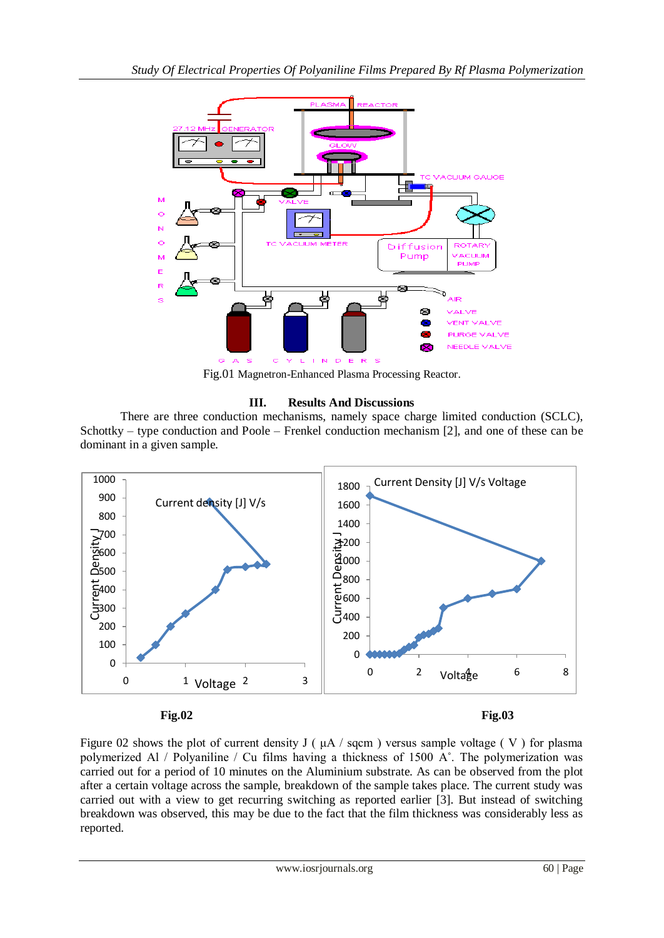

Fig.01 Magnetron-Enhanced Plasma Processing Reactor.

# **III. Results And Discussions**

There are three conduction mechanisms, namely space charge limited conduction (SCLC), Schottky – type conduction and Poole – Frenkel conduction mechanism [2], and one of these can be dominant in a given sample.



Figure 02 shows the plot of current density J ( $\mu$ A / sqcm) versus sample voltage (V) for plasma polymerized Al / Polyaniline / Cu films having a thickness of 1500 A˚. The polymerization was carried out for a period of 10 minutes on the Aluminium substrate. As can be observed from the plot after a certain voltage across the sample, breakdown of the sample takes place. The current study was carried out with a view to get recurring switching as reported earlier [3]. But instead of switching breakdown was observed, this may be due to the fact that the film thickness was considerably less as reported.